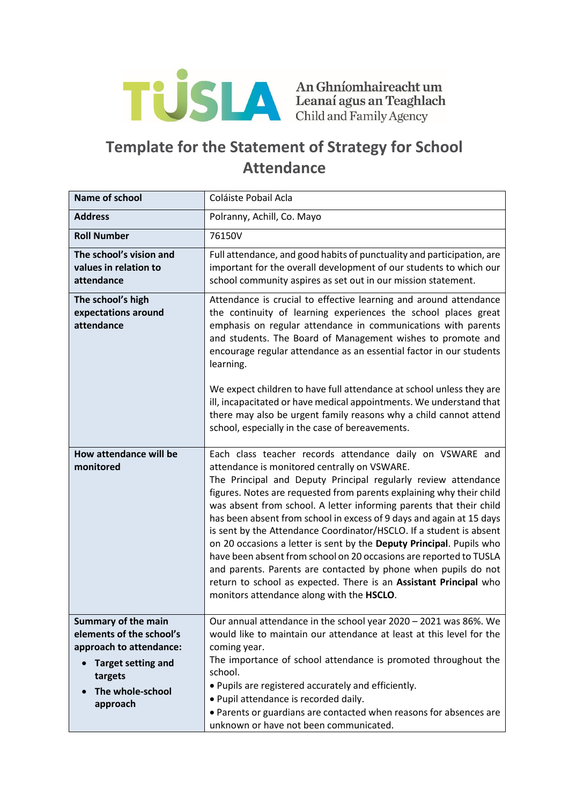

## **Template for the Statement of Strategy for School Attendance**

| <b>Name of school</b>                                                                                                                                     | Coláiste Pobail Acla                                                                                                                                                                                                                                                                                                                                                                                                                                                                                                                                                                                                                                                                                                                                                                                        |
|-----------------------------------------------------------------------------------------------------------------------------------------------------------|-------------------------------------------------------------------------------------------------------------------------------------------------------------------------------------------------------------------------------------------------------------------------------------------------------------------------------------------------------------------------------------------------------------------------------------------------------------------------------------------------------------------------------------------------------------------------------------------------------------------------------------------------------------------------------------------------------------------------------------------------------------------------------------------------------------|
| <b>Address</b>                                                                                                                                            | Polranny, Achill, Co. Mayo                                                                                                                                                                                                                                                                                                                                                                                                                                                                                                                                                                                                                                                                                                                                                                                  |
| <b>Roll Number</b>                                                                                                                                        | 76150V                                                                                                                                                                                                                                                                                                                                                                                                                                                                                                                                                                                                                                                                                                                                                                                                      |
| The school's vision and<br>values in relation to<br>attendance                                                                                            | Full attendance, and good habits of punctuality and participation, are<br>important for the overall development of our students to which our<br>school community aspires as set out in our mission statement.                                                                                                                                                                                                                                                                                                                                                                                                                                                                                                                                                                                               |
| The school's high<br>expectations around<br>attendance                                                                                                    | Attendance is crucial to effective learning and around attendance<br>the continuity of learning experiences the school places great<br>emphasis on regular attendance in communications with parents<br>and students. The Board of Management wishes to promote and<br>encourage regular attendance as an essential factor in our students<br>learning.<br>We expect children to have full attendance at school unless they are                                                                                                                                                                                                                                                                                                                                                                             |
|                                                                                                                                                           | ill, incapacitated or have medical appointments. We understand that<br>there may also be urgent family reasons why a child cannot attend<br>school, especially in the case of bereavements.                                                                                                                                                                                                                                                                                                                                                                                                                                                                                                                                                                                                                 |
| <b>How attendance will be</b><br>monitored                                                                                                                | Each class teacher records attendance daily on VSWARE and<br>attendance is monitored centrally on VSWARE.<br>The Principal and Deputy Principal regularly review attendance<br>figures. Notes are requested from parents explaining why their child<br>was absent from school. A letter informing parents that their child<br>has been absent from school in excess of 9 days and again at 15 days<br>is sent by the Attendance Coordinator/HSCLO. If a student is absent<br>on 20 occasions a letter is sent by the Deputy Principal. Pupils who<br>have been absent from school on 20 occasions are reported to TUSLA<br>and parents. Parents are contacted by phone when pupils do not<br>return to school as expected. There is an Assistant Principal who<br>monitors attendance along with the HSCLO. |
| <b>Summary of the main</b><br>elements of the school's<br>approach to attendance:<br><b>Target setting and</b><br>targets<br>The whole-school<br>approach | Our annual attendance in the school year 2020 - 2021 was 86%. We<br>would like to maintain our attendance at least at this level for the<br>coming year.<br>The importance of school attendance is promoted throughout the<br>school.<br>. Pupils are registered accurately and efficiently.<br>· Pupil attendance is recorded daily.<br>• Parents or guardians are contacted when reasons for absences are<br>unknown or have not been communicated.                                                                                                                                                                                                                                                                                                                                                       |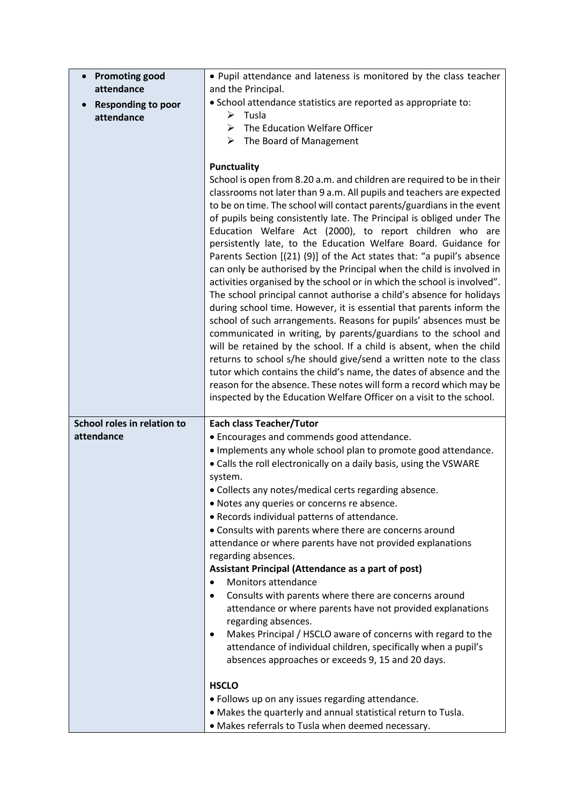| <b>Promoting good</b>       | . Pupil attendance and lateness is monitored by the class teacher                                                                              |
|-----------------------------|------------------------------------------------------------------------------------------------------------------------------------------------|
| attendance                  | and the Principal.                                                                                                                             |
| <b>Responding to poor</b>   | · School attendance statistics are reported as appropriate to:                                                                                 |
| attendance                  | Tusla<br>➤                                                                                                                                     |
|                             | The Education Welfare Officer<br>➤                                                                                                             |
|                             | $\triangleright$ The Board of Management                                                                                                       |
|                             |                                                                                                                                                |
|                             | <b>Punctuality</b>                                                                                                                             |
|                             | School is open from 8.20 a.m. and children are required to be in their                                                                         |
|                             | classrooms not later than 9 a.m. All pupils and teachers are expected<br>to be on time. The school will contact parents/guardians in the event |
|                             | of pupils being consistently late. The Principal is obliged under The                                                                          |
|                             | Education Welfare Act (2000), to report children who are                                                                                       |
|                             | persistently late, to the Education Welfare Board. Guidance for                                                                                |
|                             | Parents Section [(21) (9)] of the Act states that: "a pupil's absence                                                                          |
|                             | can only be authorised by the Principal when the child is involved in                                                                          |
|                             | activities organised by the school or in which the school is involved".                                                                        |
|                             | The school principal cannot authorise a child's absence for holidays                                                                           |
|                             | during school time. However, it is essential that parents inform the                                                                           |
|                             | school of such arrangements. Reasons for pupils' absences must be                                                                              |
|                             | communicated in writing, by parents/guardians to the school and                                                                                |
|                             | will be retained by the school. If a child is absent, when the child                                                                           |
|                             | returns to school s/he should give/send a written note to the class                                                                            |
|                             | tutor which contains the child's name, the dates of absence and the                                                                            |
|                             | reason for the absence. These notes will form a record which may be                                                                            |
|                             | inspected by the Education Welfare Officer on a visit to the school.                                                                           |
| School roles in relation to | <b>Each class Teacher/Tutor</b>                                                                                                                |
| attendance                  | • Encourages and commends good attendance.                                                                                                     |
|                             | . Implements any whole school plan to promote good attendance.                                                                                 |
|                             | • Calls the roll electronically on a daily basis, using the VSWARE                                                                             |
|                             | system.                                                                                                                                        |
|                             | • Collects any notes/medical certs regarding absence.                                                                                          |
|                             | . Notes any queries or concerns re absence.                                                                                                    |
|                             | • Records individual patterns of attendance.                                                                                                   |
|                             | • Consults with parents where there are concerns around                                                                                        |
|                             | attendance or where parents have not provided explanations                                                                                     |
|                             | regarding absences.                                                                                                                            |
|                             | Assistant Principal (Attendance as a part of post)                                                                                             |
|                             | <b>Monitors attendance</b><br>$\bullet$                                                                                                        |
|                             | Consults with parents where there are concerns around<br>$\bullet$                                                                             |
|                             | attendance or where parents have not provided explanations                                                                                     |
|                             | regarding absences.                                                                                                                            |
|                             | Makes Principal / HSCLO aware of concerns with regard to the<br>$\bullet$                                                                      |
|                             | attendance of individual children, specifically when a pupil's<br>absences approaches or exceeds 9, 15 and 20 days.                            |
|                             |                                                                                                                                                |
|                             | <b>HSCLO</b>                                                                                                                                   |
|                             | • Follows up on any issues regarding attendance.                                                                                               |
|                             | . Makes the quarterly and annual statistical return to Tusla.                                                                                  |
|                             |                                                                                                                                                |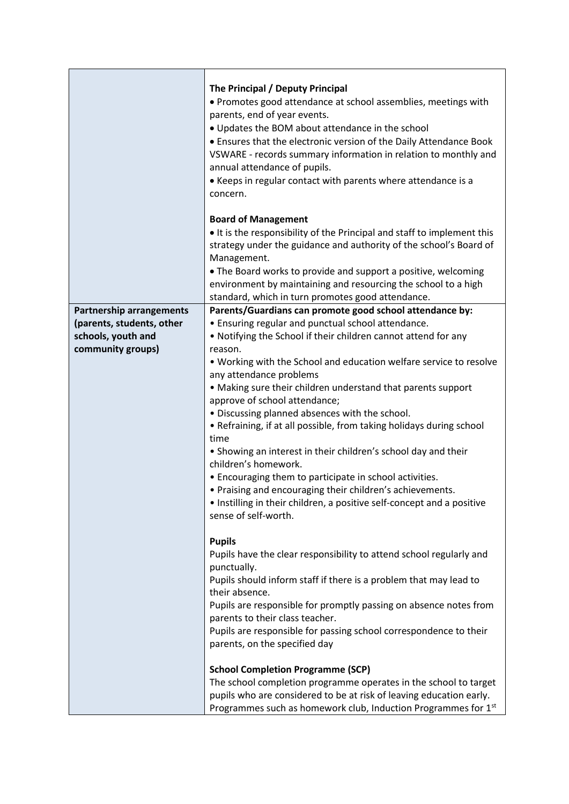|                                 | The Principal / Deputy Principal<br>• Promotes good attendance at school assemblies, meetings with<br>parents, end of year events.<br>• Updates the BOM about attendance in the school<br>• Ensures that the electronic version of the Daily Attendance Book<br>VSWARE - records summary information in relation to monthly and<br>annual attendance of pupils.<br>• Keeps in regular contact with parents where attendance is a<br>concern. |
|---------------------------------|----------------------------------------------------------------------------------------------------------------------------------------------------------------------------------------------------------------------------------------------------------------------------------------------------------------------------------------------------------------------------------------------------------------------------------------------|
|                                 | <b>Board of Management</b><br>• It is the responsibility of the Principal and staff to implement this<br>strategy under the guidance and authority of the school's Board of<br>Management.                                                                                                                                                                                                                                                   |
|                                 | • The Board works to provide and support a positive, welcoming<br>environment by maintaining and resourcing the school to a high<br>standard, which in turn promotes good attendance.                                                                                                                                                                                                                                                        |
| <b>Partnership arrangements</b> | Parents/Guardians can promote good school attendance by:                                                                                                                                                                                                                                                                                                                                                                                     |
| (parents, students, other       | • Ensuring regular and punctual school attendance.                                                                                                                                                                                                                                                                                                                                                                                           |
| schools, youth and              | • Notifying the School if their children cannot attend for any                                                                                                                                                                                                                                                                                                                                                                               |
| community groups)               | reason.                                                                                                                                                                                                                                                                                                                                                                                                                                      |
|                                 | . Working with the School and education welfare service to resolve                                                                                                                                                                                                                                                                                                                                                                           |
|                                 | any attendance problems                                                                                                                                                                                                                                                                                                                                                                                                                      |
|                                 | • Making sure their children understand that parents support                                                                                                                                                                                                                                                                                                                                                                                 |
|                                 | approve of school attendance;                                                                                                                                                                                                                                                                                                                                                                                                                |
|                                 | . Discussing planned absences with the school.                                                                                                                                                                                                                                                                                                                                                                                               |
|                                 | • Refraining, if at all possible, from taking holidays during school                                                                                                                                                                                                                                                                                                                                                                         |
|                                 | time                                                                                                                                                                                                                                                                                                                                                                                                                                         |
|                                 | • Showing an interest in their children's school day and their<br>children's homework.                                                                                                                                                                                                                                                                                                                                                       |
|                                 | • Encouraging them to participate in school activities.                                                                                                                                                                                                                                                                                                                                                                                      |
|                                 | • Praising and encouraging their children's achievements.                                                                                                                                                                                                                                                                                                                                                                                    |
|                                 | • Instilling in their children, a positive self-concept and a positive                                                                                                                                                                                                                                                                                                                                                                       |
|                                 | sense of self-worth.                                                                                                                                                                                                                                                                                                                                                                                                                         |
|                                 |                                                                                                                                                                                                                                                                                                                                                                                                                                              |
|                                 | <b>Pupils</b>                                                                                                                                                                                                                                                                                                                                                                                                                                |
|                                 | Pupils have the clear responsibility to attend school regularly and                                                                                                                                                                                                                                                                                                                                                                          |
|                                 | punctually.                                                                                                                                                                                                                                                                                                                                                                                                                                  |
|                                 | Pupils should inform staff if there is a problem that may lead to                                                                                                                                                                                                                                                                                                                                                                            |
|                                 | their absence.                                                                                                                                                                                                                                                                                                                                                                                                                               |
|                                 | Pupils are responsible for promptly passing on absence notes from                                                                                                                                                                                                                                                                                                                                                                            |
|                                 | parents to their class teacher.                                                                                                                                                                                                                                                                                                                                                                                                              |
|                                 | Pupils are responsible for passing school correspondence to their                                                                                                                                                                                                                                                                                                                                                                            |
|                                 | parents, on the specified day                                                                                                                                                                                                                                                                                                                                                                                                                |
|                                 |                                                                                                                                                                                                                                                                                                                                                                                                                                              |
|                                 | <b>School Completion Programme (SCP)</b>                                                                                                                                                                                                                                                                                                                                                                                                     |
|                                 | The school completion programme operates in the school to target                                                                                                                                                                                                                                                                                                                                                                             |
|                                 | pupils who are considered to be at risk of leaving education early.                                                                                                                                                                                                                                                                                                                                                                          |
|                                 | Programmes such as homework club, Induction Programmes for 1 <sup>st</sup>                                                                                                                                                                                                                                                                                                                                                                   |